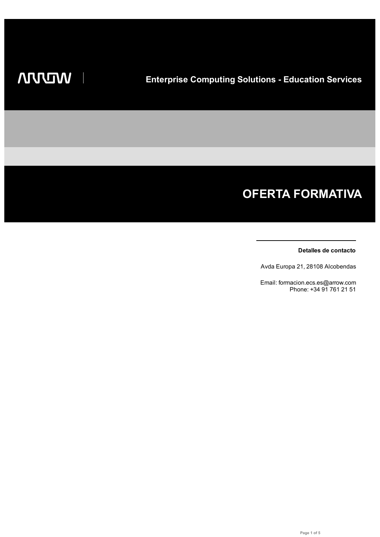# **OFERTA FORMATIVA**

## **Detalles de contacto**

Avda Europa 21, 28108 Alcobendas

Email: formacion.ecs.es@arrow.com Phone: +34 91 761 21 51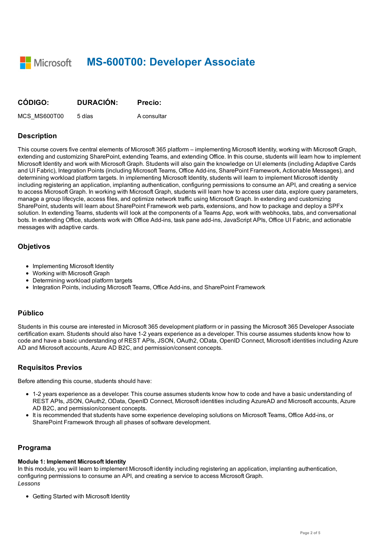**Microsoft MS-600T00: Developer Associate** 

| CÓDIGO:      | <b>DURACIÓN:</b> | <b>Precio:</b> |
|--------------|------------------|----------------|
| MCS MS600T00 | 5 días           | A consultar    |

# **Description**

This course covers five central elements of Microsoft 365 platform – implementing Microsoft Identity, working with Microsoft Graph, extending and customizing SharePoint, extending Teams, and extending Office. In this course, students will learn how to implement Microsoft Identity and work with Microsoft Graph. Students will also gain the knowledge on UI elements (including Adaptive Cards and UI Fabric), Integration Points (including Microsoft Teams, Office Add-ins, SharePoint Framework, Actionable Messages), and determining workload platform targets. In implementing Microsoft Identity, students will learn to implement Microsoft identity including registering an application, implanting authentication, configuring permissions to consume an API, and creating a service to access Microsoft Graph. In working with Microsoft Graph, students will learn how to access user data, explore query parameters, manage a group lifecycle, access files, and optimize network traffic using Microsoft Graph. In extending and customizing SharePoint, students will learn about SharePoint Framework web parts, extensions, and how to package and deploy a SPFx solution. In extending Teams, students will look at the components of a Teams App, work with webhooks, tabs, and conversational bots. In extending Office, students work with Office Add-ins, task pane add-ins, JavaScript APIs, Office UI Fabric, and actionable messages with adaptive cards.

## **Objetivos**

- Implementing Microsoft Identity
- Working with Microsoft Graph
- Determining workload platform targets
- Integration Points, including Microsoft Teams, Office Add-ins, and SharePoint Framework

# **Público**

Students in this course are interested in Microsoft 365 development platform or in passing the Microsoft 365 Developer Associate certification exam. Students should also have 1-2 years experience as a developer. This course assumes students know how to code and have a basic understanding of REST APIs, JSON, OAuth2, OData, OpenID Connect, Microsoft identities including Azure AD and Microsoft accounts, Azure AD B2C, and permission/consent concepts.

# **Requisitos Previos**

Before attending this course, students should have:

- 1-2 years experience as a developer. This course assumes students know how to code and have a basic understanding of REST APIs, JSON, OAuth2, OData, OpenID Connect, Microsoft identities including AzureAD and Microsoft accounts, Azure AD B2C, and permission/consent concepts.
- It is recommended that students have some experience developing solutions on Microsoft Teams, Office Add-ins, or SharePoint Framework through all phases of software development.

# **Programa**

# **Module 1: Implement Microsoft Identity**

In this module, you will learn to implement Microsoft identity including registering an application, implanting authentication, configuring permissions to consume an API, and creating a service to access Microsoft Graph. *Lessons*

Getting Started with Microsoft Identity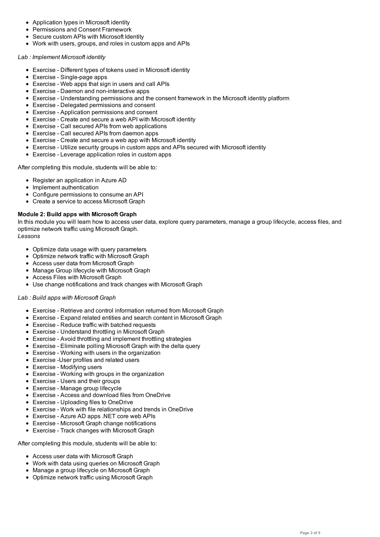- Secure custom APIs with Microsoft Identity
- Work with users, groups, and roles in custom apps and APIs

#### *Lab : Implement Microsoft identity*

- Exercise Different types of tokens used in Microsoft identity
- Exercise Single-page apps
- Exercise Web apps that sign in users and call APIs
- Exercise Daemon and non-interactive apps
- Exercise Understanding permissions and the consent framework in the Microsoft identity platform
- Exercise Delegated permissions and consent
- Exercise Application permissions and consent
- Exercise Create and secure a web API with Microsoft identity
- Exercise Call secured APIs from web applications
- Exercise Call secured APIs from daemon apps
- Exercise Create and secure a web app with Microsoft identity
- Exercise Utilize security groups in custom apps and APIs secured with Microsoft identity
- Exercise Leverage application roles in custom apps

After completing this module, students will be able to:

- Register an application in Azure AD
- Implement authentication
- Configure permissions to consume an API
- Create a service to access Microsoft Graph

## **Module 2: Build apps with Microsoft Graph**

In this module you will learn how to access user data, explore query parameters, manage a group lifecycle, access files, and optimize network traffic using Microsoft Graph.

#### *Lessons*

- Optimize data usage with query parameters
- Optimize network traffic with Microsoft Graph
- Access user data from Microsoft Graph
- Manage Group lifecycle with Microsoft Graph
- Access Files with Microsoft Graph
- Use change notifications and track changes with Microsoft Graph

## *Lab : Build apps with Microsoft Graph*

- Exercise Retrieve and control information returned from Microsoft Graph
- Exercise Expand related entities and search content in Microsoft Graph
- Exercise Reduce traffic with batched requests
- Exercise Understand throttling in Microsoft Graph
- Exercise Avoid throttling and implement throttling strategies
- Exercise Eliminate polling Microsoft Graph with the delta query
- Exercise Working with users in the organization
- Exercise -User profiles and related users
- Exercise Modifying users
- Exercise Working with groups in the organization
- Exercise Users and their groups
- Exercise Manage group lifecycle
- Exercise Access and download files from OneDrive
- Exercise Uploading files to OneDrive
- Exercise Work with file relationships and trends in OneDrive
- Exercise Azure AD apps .NET core web APIs
- Exercise Microsoft Graph change notifications
- Exercise Track changes with Microsoft Graph

After completing this module, students will be able to:

- Access user data with Microsoft Graph
- Work with data using queries on Microsoft Graph
- Manage a group lifecycle on Microsoft Graph
- Optimize network traffic using Microsoft Graph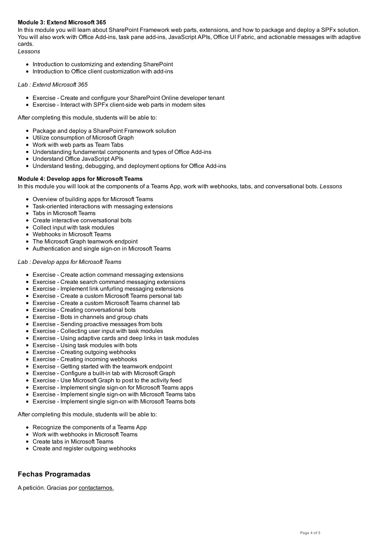In this module you will learn about SharePoint Framework web parts, extensions, and how to package and deploy a SPFx solution. You will also work with Office Add-ins, task pane add-ins, JavaScript APIs, Office UI Fabric, and actionable messages with adaptive cards.

*Lessons*

- Introduction to customizing and extending SharePoint
- Introduction to Office client customization with add-ins

## *Lab : Extend Microsoft 365*

- Exercise Create and configure your SharePoint Online developer tenant
- Exercise Interact with SPFx client-side web parts in modern sites

After completing this module, students will be able to:

- Package and deploy a SharePoint Framework solution
- Utilize consumption of Microsoft Graph
- Work with web parts as Team Tabs
- Understanding fundamental components and types of Office Add-ins
- Understand Office JavaScript APIs
- Understand testing, debugging, and deployment options for Office Add-ins

## **Module 4: Develop apps for Microsoft Teams**

In this module you will look at the components of a Teams App, work with webhooks, tabs, and conversational bots. *Lessons*

- Overview of building apps for Microsoft Teams
- Task-oriented interactions with messaging extensions
- Tabs in Microsoft Teams
- Create interactive conversational bots
- Collect input with task modules
- Webhooks in Microsoft Teams
- The Microsoft Graph teamwork endpoint
- Authentication and single sign-on in Microsoft Teams

## *Lab : Develop apps for Microsoft Teams*

- Exercise Create action command messaging extensions
- Exercise Create search command messaging extensions
- Exercise Implement link unfurling messaging extensions
- Exercise Create a custom Microsoft Teams personal tab
- Exercise Create a custom Microsoft Teams channel tab
- Exercise Creating conversational bots
- Exercise Bots in channels and group chats
- Exercise Sending proactive messages from bots
- Exercise Collecting user input with task modules
- Exercise Using adaptive cards and deep links in task modules
- Exercise Using task modules with bots
- Exercise Creating outgoing webhooks
- Exercise Creating incoming webhooks
- Exercise Getting started with the teamwork endpoint
- Exercise Configure a built-in tab with Microsoft Graph
- Exercise Use Microsoft Graph to post to the activity feed
- Exercise Implement single sign-on for Microsoft Teams apps
- Exercise Implement single sign-on with Microsoft Teams tabs
- Exercise Implement single sign-on with Microsoft Teams bots

After completing this module, students will be able to:

- Recognize the components of a Teams App
- Work with webhooks in Microsoft Teams
- Create tabs in Microsoft Teams
- Create and register outgoing webhooks

# **Fechas Programadas**

A petición. Gracias por contactarnos.